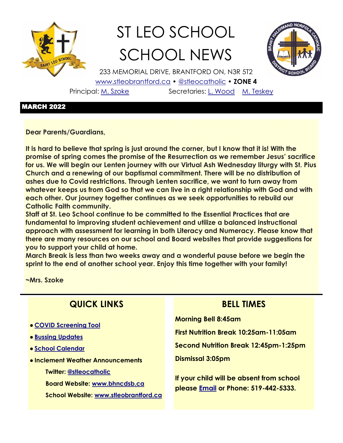

# ST LEO SCHOOL SCHOOL NEWS



233 MEMORIAL DRIVE, BRANTFORD ON, N3R 5T2 [www.stleobrantford.ca](http://www.stleobrantford.ca) • [@stleocatholic](https://twitter.com/hfcatholic) • **ZONE 4** Principal: [M. Szoke](mailto:mszoke@bhncdsb.ca) Secretaries: [L. Wood](mailto:lwood@bhncdsb.ca) [M. Teskey](mailto:mteskey@bhncdsb.ca)

#### MARCH 2022

**Dear Parents/Guardians,**

**It is hard to believe that spring is just around the corner, but I know that it is! With the promise of spring comes the promise of the Resurrection as we remember Jesus' sacrifice for us. We will begin our Lenten journey with our Virtual Ash Wednesday liturgy with St. Pius Church and a renewing of our baptismal commitment. There will be no distribution of ashes due to Covid restrictions. Through Lenten sacrifice, we want to turn away from whatever keeps us from God so that we can live in a right relationship with God and with each other. Our journey together continues as we seek opportunities to rebuild our Catholic Faith community.**

**Staff at St. Leo School continue to be committed to the Essential Practices that are fundamental to improving student achievement and utilize a balanced instructional approach with assessment for learning in both Literacy and Numeracy. Please know that there are many resources on our school and Board websites that provide suggestions for you to support your child at home.**

**March Break is less than two weeks away and a wonderful pause before we begin the sprint to the end of another school year. Enjoy this time together with your family!**

**~Mrs. Szoke**

### **QUICK LINKS**

- **[COVID Screening Tool](https://covid-19.ontario.ca/school-screening/)**
- **[Bussing Updates](http://www.stsbhn.ca/)**
- **[School Calendar](http://www.stleobrantford.ca/events-calendar)**
- **Inclement Weather Announcements**

**Twitter: [@stleocatholic](https://twitter.com/hfcatholic)**

**Board Website: [www.bhncdsb.ca](http://www.bhncdsb.ca/)**

**School Website: [www.stleobrantford.ca](http://www.stleobrantford.ca)**

### **BELL TIMES**

**Morning Bell 8:45am**

**First Nutrition Break 10:25am-11:05am**

**Second Nutrition Break 12:45pm-1:25pm**

**Dismissal 3:05pm**

**If your child will be absent from school please [Email](mailto:lwood@bhncdsb.ca,%20mteskey@bhncdsb.ca?subject=Attendance) or Phone: 519-442-5333.**